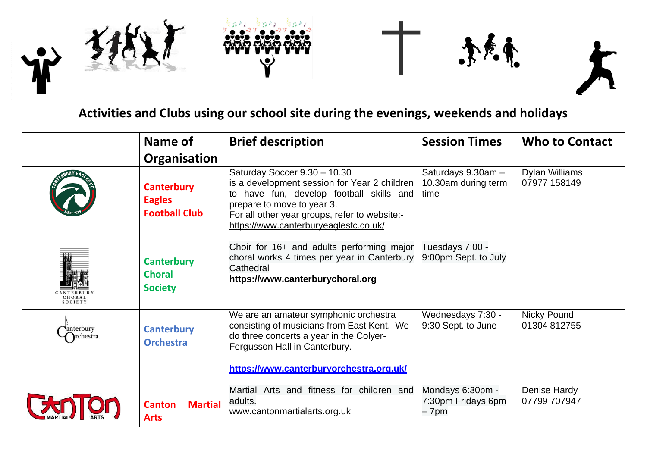



## **Activities and Clubs using our school site during the evenings, weekends and holidays**

|                       | Name of                                                    | <b>Brief description</b>                                                                                                                                                                                                                           | <b>Session Times</b>                              | <b>Who to Contact</b>          |
|-----------------------|------------------------------------------------------------|----------------------------------------------------------------------------------------------------------------------------------------------------------------------------------------------------------------------------------------------------|---------------------------------------------------|--------------------------------|
|                       | Organisation                                               |                                                                                                                                                                                                                                                    |                                                   |                                |
|                       | <b>Canterbury</b><br><b>Eagles</b><br><b>Football Club</b> | Saturday Soccer 9.30 - 10.30<br>is a development session for Year 2 children  <br>to have fun, develop football skills and<br>prepare to move to year 3.<br>For all other year groups, refer to website:-<br>https://www.canterburyeaglesfc.co.uk/ | Saturdays 9.30am -<br>10.30am during term<br>time | Dylan Williams<br>07977 158149 |
| CHORAL<br>SOCIETY     | <b>Canterbury</b><br><b>Choral</b><br><b>Society</b>       | Choir for 16+ and adults performing major<br>choral works 4 times per year in Canterbury<br>Cathedral<br>https://www.canterburychoral.org                                                                                                          | Tuesdays 7:00 -<br>9:00pm Sept. to July           |                                |
| anterbury<br>rchestra | <b>Canterbury</b><br><b>Orchestra</b>                      | We are an amateur symphonic orchestra<br>consisting of musicians from East Kent. We<br>do three concerts a year in the Colyer-<br>Fergusson Hall in Canterbury.<br>https://www.canterburyorchestra.org.uk/                                         | Wednesdays 7:30 -<br>9:30 Sept. to June           | Nicky Pound<br>01304 812755    |
|                       | <b>Martial</b><br><b>Canton</b><br><b>Arts</b>             | Martial Arts and fitness for children and<br>adults.<br>www.cantonmartialarts.org.uk                                                                                                                                                               | Mondays 6:30pm -<br>7:30pm Fridays 6pm<br>– 7pm   | Denise Hardy<br>07799 707947   |